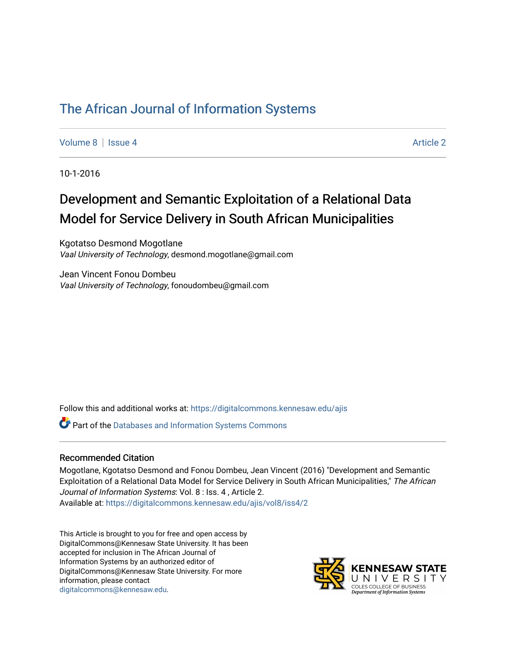## [The African Journal of Information Systems](https://digitalcommons.kennesaw.edu/ajis)

[Volume 8](https://digitalcommons.kennesaw.edu/ajis/vol8) | [Issue 4](https://digitalcommons.kennesaw.edu/ajis/vol8/iss4) Article 2

10-1-2016

# Development and Semantic Exploitation of a Relational Data Model for Service Delivery in South African Municipalities

Kgotatso Desmond Mogotlane Vaal University of Technology, desmond.mogotlane@gmail.com

Jean Vincent Fonou Dombeu Vaal University of Technology, fonoudombeu@gmail.com

Follow this and additional works at: [https://digitalcommons.kennesaw.edu/ajis](https://digitalcommons.kennesaw.edu/ajis?utm_source=digitalcommons.kennesaw.edu%2Fajis%2Fvol8%2Fiss4%2F2&utm_medium=PDF&utm_campaign=PDFCoverPages) 

Part of the [Databases and Information Systems Commons](http://network.bepress.com/hgg/discipline/145?utm_source=digitalcommons.kennesaw.edu%2Fajis%2Fvol8%2Fiss4%2F2&utm_medium=PDF&utm_campaign=PDFCoverPages)

#### Recommended Citation

Mogotlane, Kgotatso Desmond and Fonou Dombeu, Jean Vincent (2016) "Development and Semantic Exploitation of a Relational Data Model for Service Delivery in South African Municipalities," The African Journal of Information Systems: Vol. 8 : Iss. 4 , Article 2. Available at: [https://digitalcommons.kennesaw.edu/ajis/vol8/iss4/2](https://digitalcommons.kennesaw.edu/ajis/vol8/iss4/2?utm_source=digitalcommons.kennesaw.edu%2Fajis%2Fvol8%2Fiss4%2F2&utm_medium=PDF&utm_campaign=PDFCoverPages) 

This Article is brought to you for free and open access by DigitalCommons@Kennesaw State University. It has been accepted for inclusion in The African Journal of Information Systems by an authorized editor of DigitalCommons@Kennesaw State University. For more information, please contact [digitalcommons@kennesaw.edu.](mailto:digitalcommons@kennesaw.edu)

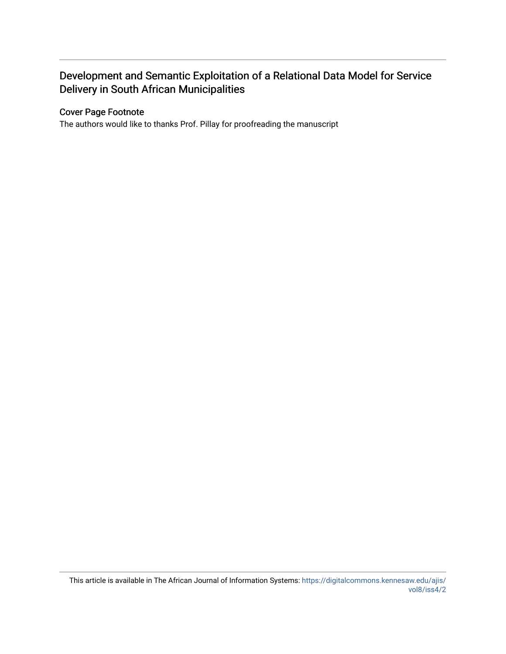### Development and Semantic Exploitation of a Relational Data Model for Service Delivery in South African Municipalities

#### Cover Page Footnote

The authors would like to thanks Prof. Pillay for proofreading the manuscript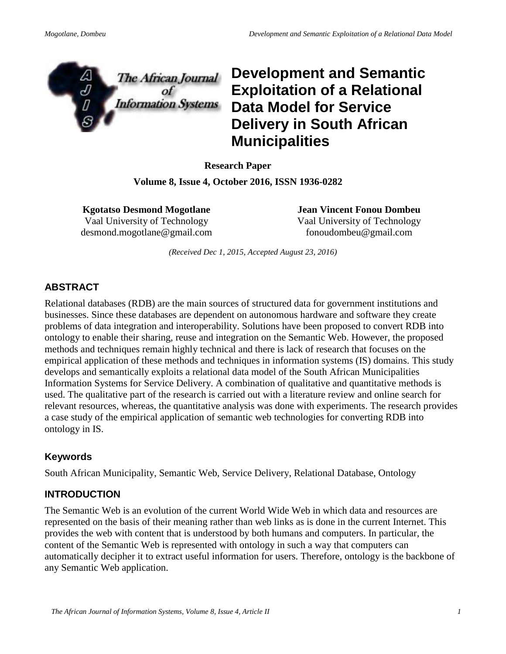

**Development and Semantic Exploitation of a Relational Data Model for Service Delivery in South African Municipalities**

**Research Paper Volume 8, Issue 4, October 2016, ISSN 1936-0282**

**Kgotatso Desmond Mogotlane** Vaal University of Technology desmond.mogotlane@gmail.com **Jean Vincent Fonou Dombeu** Vaal University of Technology fonoudombeu@gmail.com

*(Received Dec 1, 2015, Accepted August 23, 2016)*

#### **ABSTRACT**

Relational databases (RDB) are the main sources of structured data for government institutions and businesses. Since these databases are dependent on autonomous hardware and software they create problems of data integration and interoperability. Solutions have been proposed to convert RDB into ontology to enable their sharing, reuse and integration on the Semantic Web. However, the proposed methods and techniques remain highly technical and there is lack of research that focuses on the empirical application of these methods and techniques in information systems (IS) domains. This study develops and semantically exploits a relational data model of the South African Municipalities Information Systems for Service Delivery. A combination of qualitative and quantitative methods is used. The qualitative part of the research is carried out with a literature review and online search for relevant resources, whereas, the quantitative analysis was done with experiments. The research provides a case study of the empirical application of semantic web technologies for converting RDB into ontology in IS.

#### **Keywords**

South African Municipality, Semantic Web, Service Delivery, Relational Database, Ontology

#### **INTRODUCTION**

The Semantic Web is an evolution of the current World Wide Web in which data and resources are represented on the basis of their meaning rather than web links as is done in the current Internet. This provides the web with content that is understood by both humans and computers. In particular, the content of the Semantic Web is represented with ontology in such a way that computers can automatically decipher it to extract useful information for users. Therefore, ontology is the backbone of any Semantic Web application.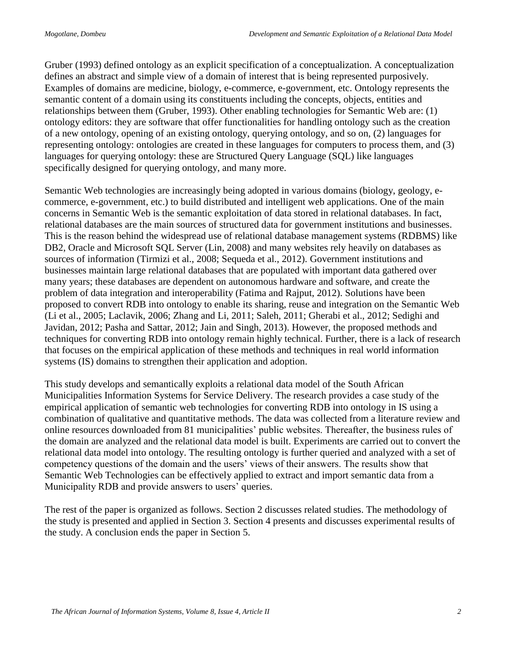Gruber (1993) defined ontology as an explicit specification of a conceptualization. A conceptualization defines an abstract and simple view of a domain of interest that is being represented purposively. Examples of domains are medicine, biology, e-commerce, e-government, etc. Ontology represents the semantic content of a domain using its constituents including the concepts, objects, entities and relationships between them (Gruber, 1993). Other enabling technologies for Semantic Web are: (1) ontology editors: they are software that offer functionalities for handling ontology such as the creation of a new ontology, opening of an existing ontology, querying ontology, and so on, (2) languages for representing ontology: ontologies are created in these languages for computers to process them, and (3) languages for querying ontology: these are Structured Query Language (SQL) like languages specifically designed for querying ontology, and many more.

Semantic Web technologies are increasingly being adopted in various domains (biology, geology, ecommerce, e-government, etc.) to build distributed and intelligent web applications. One of the main concerns in Semantic Web is the semantic exploitation of data stored in relational databases. In fact, relational databases are the main sources of structured data for government institutions and businesses. This is the reason behind the widespread use of relational database management systems (RDBMS) like DB2, Oracle and Microsoft SQL Server (Lin, 2008) and many websites rely heavily on databases as sources of information (Tirmizi et al., 2008; Sequeda et al., 2012). Government institutions and businesses maintain large relational databases that are populated with important data gathered over many years; these databases are dependent on autonomous hardware and software, and create the problem of data integration and interoperability (Fatima and Rajput, 2012). Solutions have been proposed to convert RDB into ontology to enable its sharing, reuse and integration on the Semantic Web (Li et al., 2005; Laclavik, 2006; Zhang and Li, 2011; Saleh, 2011; Gherabi et al., 2012; Sedighi and Javidan, 2012; Pasha and Sattar, 2012; Jain and Singh, 2013). However, the proposed methods and techniques for converting RDB into ontology remain highly technical. Further, there is a lack of research that focuses on the empirical application of these methods and techniques in real world information systems (IS) domains to strengthen their application and adoption.

This study develops and semantically exploits a relational data model of the South African Municipalities Information Systems for Service Delivery. The research provides a case study of the empirical application of semantic web technologies for converting RDB into ontology in IS using a combination of qualitative and quantitative methods. The data was collected from a literature review and online resources downloaded from 81 municipalities' public websites. Thereafter, the business rules of the domain are analyzed and the relational data model is built. Experiments are carried out to convert the relational data model into ontology. The resulting ontology is further queried and analyzed with a set of competency questions of the domain and the users' views of their answers. The results show that Semantic Web Technologies can be effectively applied to extract and import semantic data from a Municipality RDB and provide answers to users' queries.

The rest of the paper is organized as follows. Section 2 discusses related studies. The methodology of the study is presented and applied in Section 3. Section 4 presents and discusses experimental results of the study. A conclusion ends the paper in Section 5.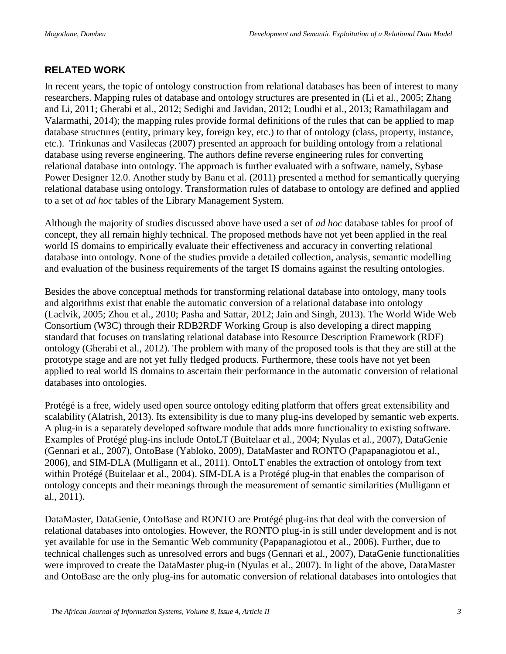#### **RELATED WORK**

In recent years, the topic of ontology construction from relational databases has been of interest to many researchers. Mapping rules of database and ontology structures are presented in (Li et al., 2005; Zhang and Li, 2011; Gherabi et al., 2012; Sedighi and Javidan, 2012; Loudhi et al., 2013; Ramathilagam and Valarmathi, 2014); the mapping rules provide formal definitions of the rules that can be applied to map database structures (entity, primary key, foreign key, etc.) to that of ontology (class, property, instance, etc.). Trinkunas and Vasilecas (2007) presented an approach for building ontology from a relational database using reverse engineering. The authors define reverse engineering rules for converting relational database into ontology. The approach is further evaluated with a software, namely, Sybase Power Designer 12.0. Another study by Banu et al. (2011) presented a method for semantically querying relational database using ontology. Transformation rules of database to ontology are defined and applied to a set of *ad hoc* tables of the Library Management System.

Although the majority of studies discussed above have used a set of *ad hoc* database tables for proof of concept, they all remain highly technical. The proposed methods have not yet been applied in the real world IS domains to empirically evaluate their effectiveness and accuracy in converting relational database into ontology. None of the studies provide a detailed collection, analysis, semantic modelling and evaluation of the business requirements of the target IS domains against the resulting ontologies.

Besides the above conceptual methods for transforming relational database into ontology, many tools and algorithms exist that enable the automatic conversion of a relational database into ontology (Laclvik, 2005; Zhou et al., 2010; Pasha and Sattar, 2012; Jain and Singh, 2013). The World Wide Web Consortium (W3C) through their RDB2RDF Working Group is also developing a direct mapping standard that focuses on translating relational database into Resource Description Framework (RDF) ontology (Gherabi et al., 2012). The problem with many of the proposed tools is that they are still at the prototype stage and are not yet fully fledged products. Furthermore, these tools have not yet been applied to real world IS domains to ascertain their performance in the automatic conversion of relational databases into ontologies.

Protégé is a free, widely used open source ontology editing platform that offers great extensibility and scalability (Alatrish, 2013). Its extensibility is due to many plug-ins developed by semantic web experts. A plug-in is a separately developed software module that adds more functionality to existing software. Examples of Protégé plug-ins include OntoLT (Buitelaar et al., 2004; Nyulas et al., 2007), DataGenie (Gennari et al., 2007), OntoBase (Yabloko, 2009), DataMaster and RONTO (Papapanagiotou et al., 2006), and SIM-DLA (Mulligann et al., 2011). OntoLT enables the extraction of ontology from text within Protégé (Buitelaar et al., 2004). SIM-DLA is a Protégé plug-in that enables the comparison of ontology concepts and their meanings through the measurement of semantic similarities (Mulligann et al., 2011).

DataMaster, DataGenie, OntoBase and RONTO are Protégé plug-ins that deal with the conversion of relational databases into ontologies. However, the RONTO plug-in is still under development and is not yet available for use in the Semantic Web community (Papapanagiotou et al., 2006). Further, due to technical challenges such as unresolved errors and bugs (Gennari et al., 2007), DataGenie functionalities were improved to create the DataMaster plug-in (Nyulas et al., 2007). In light of the above, DataMaster and OntoBase are the only plug-ins for automatic conversion of relational databases into ontologies that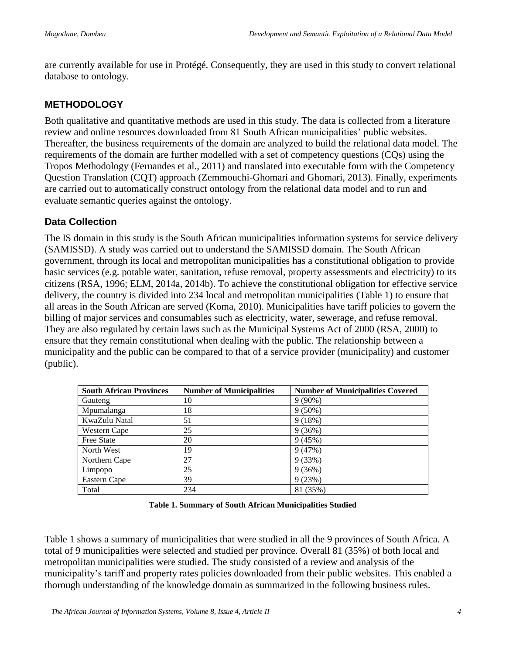are currently available for use in Protégé. Consequently, they are used in this study to convert relational database to ontology.

#### **METHODOLOGY**

Both qualitative and quantitative methods are used in this study. The data is collected from a literature review and online resources downloaded from 81 South African municipalities' public websites. Thereafter, the business requirements of the domain are analyzed to build the relational data model. The requirements of the domain are further modelled with a set of competency questions (CQs) using the Tropos Methodology (Fernandes et al., 2011) and translated into executable form with the Competency Question Translation (CQT) approach (Zemmouchi-Ghomari and Ghomari, 2013). Finally, experiments are carried out to automatically construct ontology from the relational data model and to run and evaluate semantic queries against the ontology.

#### **Data Collection**

The IS domain in this study is the South African municipalities information systems for service delivery (SAMISSD). A study was carried out to understand the SAMISSD domain. The South African government, through its local and metropolitan municipalities has a constitutional obligation to provide basic services (e.g. potable water, sanitation, refuse removal, property assessments and electricity) to its citizens (RSA, 1996; ELM, 2014a, 2014b). To achieve the constitutional obligation for effective service delivery, the country is divided into 234 local and metropolitan municipalities (Table 1) to ensure that all areas in the South African are served (Koma, 2010). Municipalities have tariff policies to govern the billing of major services and consumables such as electricity, water, sewerage, and refuse removal. They are also regulated by certain laws such as the Municipal Systems Act of 2000 (RSA, 2000) to ensure that they remain constitutional when dealing with the public. The relationship between a municipality and the public can be compared to that of a service provider (municipality) and customer (public).

| <b>South African Provinces</b> | <b>Number of Municipalities</b> | <b>Number of Municipalities Covered</b> |
|--------------------------------|---------------------------------|-----------------------------------------|
| Gauteng                        | 10                              | $9(90\%)$                               |
| Mpumalanga                     | 18                              | $9(50\%)$                               |
| KwaZulu Natal                  | 51                              | 9(18%)                                  |
| Western Cape                   | 25                              | 9(36%)                                  |
| <b>Free State</b>              | 20                              | 9(45%)                                  |
| North West                     | 19                              | 9(47%)                                  |
| Northern Cape                  | 27                              | 9(33%)                                  |
| Limpopo                        | 25                              | 9(36%)                                  |
| Eastern Cape                   | 39                              | 9(23%)                                  |
| Total                          | 234                             | 81 (35%)                                |

|  | Table 1. Summary of South African Municipalities Studied |  |  |  |  |
|--|----------------------------------------------------------|--|--|--|--|
|--|----------------------------------------------------------|--|--|--|--|

Table 1 shows a summary of municipalities that were studied in all the 9 provinces of South Africa. A total of 9 municipalities were selected and studied per province. Overall 81 (35%) of both local and metropolitan municipalities were studied. The study consisted of a review and analysis of the municipality's tariff and property rates policies downloaded from their public websites. This enabled a thorough understanding of the knowledge domain as summarized in the following business rules.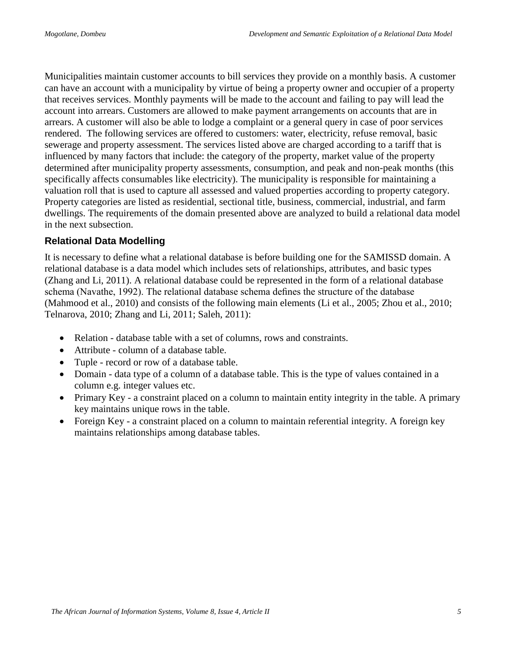Municipalities maintain customer accounts to bill services they provide on a monthly basis. A customer can have an account with a municipality by virtue of being a property owner and occupier of a property that receives services. Monthly payments will be made to the account and failing to pay will lead the account into arrears. Customers are allowed to make payment arrangements on accounts that are in arrears. A customer will also be able to lodge a complaint or a general query in case of poor services rendered. The following services are offered to customers: water, electricity, refuse removal, basic sewerage and property assessment. The services listed above are charged according to a tariff that is influenced by many factors that include: the category of the property, market value of the property determined after municipality property assessments, consumption, and peak and non-peak months (this specifically affects consumables like electricity). The municipality is responsible for maintaining a valuation roll that is used to capture all assessed and valued properties according to property category. Property categories are listed as residential, sectional title, business, commercial, industrial, and farm dwellings. The requirements of the domain presented above are analyzed to build a relational data model in the next subsection.

#### **Relational Data Modelling**

It is necessary to define what a relational database is before building one for the SAMISSD domain. A relational database is a data model which includes sets of relationships, attributes, and basic types (Zhang and Li, 2011). A relational database could be represented in the form of a relational database schema (Navathe, 1992). The relational database schema defines the structure of the database (Mahmood et al., 2010) and consists of the following main elements (Li et al., 2005; Zhou et al., 2010; Telnarova, 2010; Zhang and Li, 2011; Saleh, 2011):

- Relation database table with a set of columns, rows and constraints.
- Attribute column of a database table.
- Tuple record or row of a database table.
- Domain data type of a column of a database table. This is the type of values contained in a column e.g. integer values etc.
- Primary Key a constraint placed on a column to maintain entity integrity in the table. A primary key maintains unique rows in the table.
- Foreign Key a constraint placed on a column to maintain referential integrity. A foreign key maintains relationships among database tables.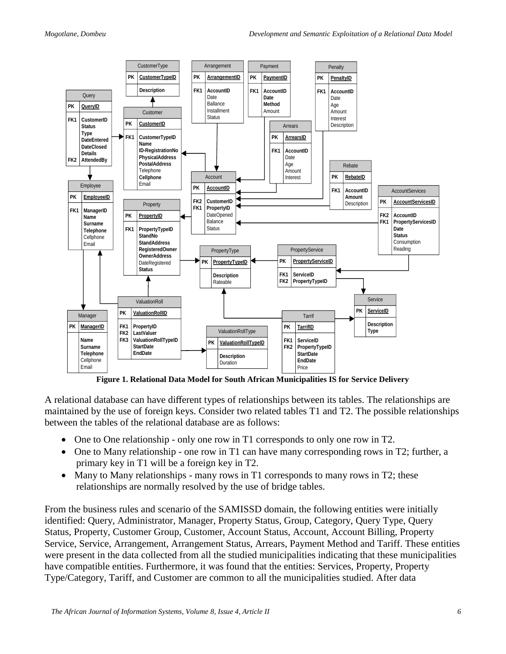

**Figure 1. Relational Data Model for South African Municipalities IS for Service Delivery**

A relational database can have different types of relationships between its tables. The relationships are maintained by the use of foreign keys. Consider two related tables T1 and T2. The possible relationships between the tables of the relational database are as follows:

- One to One relationship only one row in T1 corresponds to only one row in T2.
- $\bullet$  One to Many relationship one row in T1 can have many corresponding rows in T2; further, a primary key in T1 will be a foreign key in T2.
- Many to Many relationships many rows in T1 corresponds to many rows in T2; these relationships are normally resolved by the use of bridge tables.

From the business rules and scenario of the SAMISSD domain, the following entities were initially identified: Query, Administrator, Manager, Property Status, Group, Category, Query Type, Query Status, Property, Customer Group, Customer, Account Status, Account, Account Billing, Property Service, Service, Arrangement, Arrangement Status, Arrears, Payment Method and Tariff. These entities were present in the data collected from all the studied municipalities indicating that these municipalities have compatible entities. Furthermore, it was found that the entities: Services, Property, Property Type/Category, Tariff, and Customer are common to all the municipalities studied. After data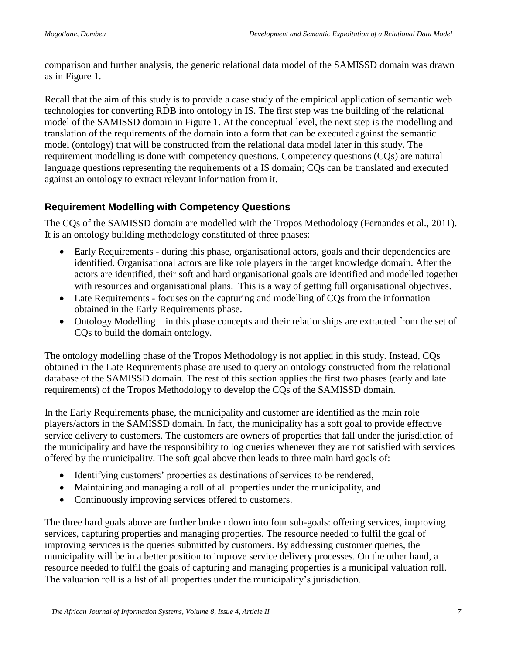comparison and further analysis, the generic relational data model of the SAMISSD domain was drawn as in Figure 1.

Recall that the aim of this study is to provide a case study of the empirical application of semantic web technologies for converting RDB into ontology in IS. The first step was the building of the relational model of the SAMISSD domain in Figure 1. At the conceptual level, the next step is the modelling and translation of the requirements of the domain into a form that can be executed against the semantic model (ontology) that will be constructed from the relational data model later in this study. The requirement modelling is done with competency questions. Competency questions (CQs) are natural language questions representing the requirements of a IS domain; CQs can be translated and executed against an ontology to extract relevant information from it.

#### **Requirement Modelling with Competency Questions**

The CQs of the SAMISSD domain are modelled with the Tropos Methodology (Fernandes et al., 2011). It is an ontology building methodology constituted of three phases:

- Early Requirements during this phase, organisational actors, goals and their dependencies are identified. Organisational actors are like role players in the target knowledge domain. After the actors are identified, their soft and hard organisational goals are identified and modelled together with resources and organisational plans. This is a way of getting full organisational objectives.
- Late Requirements focuses on the capturing and modelling of COs from the information obtained in the Early Requirements phase.
- Ontology Modelling in this phase concepts and their relationships are extracted from the set of CQs to build the domain ontology.

The ontology modelling phase of the Tropos Methodology is not applied in this study. Instead, CQs obtained in the Late Requirements phase are used to query an ontology constructed from the relational database of the SAMISSD domain. The rest of this section applies the first two phases (early and late requirements) of the Tropos Methodology to develop the CQs of the SAMISSD domain.

In the Early Requirements phase, the municipality and customer are identified as the main role players/actors in the SAMISSD domain. In fact, the municipality has a soft goal to provide effective service delivery to customers. The customers are owners of properties that fall under the jurisdiction of the municipality and have the responsibility to log queries whenever they are not satisfied with services offered by the municipality. The soft goal above then leads to three main hard goals of:

- Identifying customers' properties as destinations of services to be rendered,
- Maintaining and managing a roll of all properties under the municipality, and
- Continuously improving services offered to customers.

The three hard goals above are further broken down into four sub-goals: offering services, improving services, capturing properties and managing properties. The resource needed to fulfil the goal of improving services is the queries submitted by customers. By addressing customer queries, the municipality will be in a better position to improve service delivery processes. On the other hand, a resource needed to fulfil the goals of capturing and managing properties is a municipal valuation roll. The valuation roll is a list of all properties under the municipality's jurisdiction.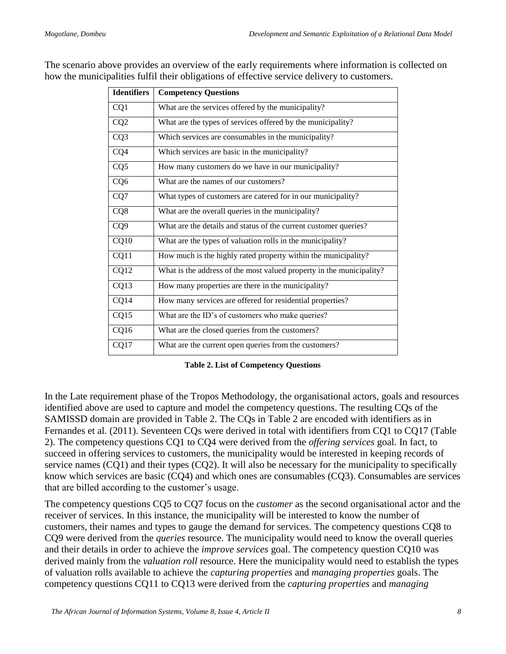| The scenario above provides an overview of the early requirements where information is collected on |  |
|-----------------------------------------------------------------------------------------------------|--|
| how the municipalities fulfil their obligations of effective service delivery to customers.         |  |

| <b>Identifiers</b> | <b>Competency Questions</b>                                          |
|--------------------|----------------------------------------------------------------------|
| CQ1                | What are the services offered by the municipality?                   |
| CQ <sub>2</sub>    | What are the types of services offered by the municipality?          |
| CQ3                | Which services are consumables in the municipality?                  |
| CQ4                | Which services are basic in the municipality?                        |
| CQ <sub>5</sub>    | How many customers do we have in our municipality?                   |
| CQ <sub>6</sub>    | What are the names of our customers?                                 |
| CQ7                | What types of customers are catered for in our municipality?         |
| CQ8                | What are the overall queries in the municipality?                    |
| CQ <sub>9</sub>    | What are the details and status of the current customer queries?     |
| CQ10               | What are the types of valuation rolls in the municipality?           |
| CQ11               | How much is the highly rated property within the municipality?       |
| CQ12               | What is the address of the most valued property in the municipality? |
| CQ13               | How many properties are there in the municipality?                   |
| CQ14               | How many services are offered for residential properties?            |
| CQ15               | What are the ID's of customers who make queries?                     |
| CQ16               | What are the closed queries from the customers?                      |
| CQ17               | What are the current open queries from the customers?                |

| <b>Table 2. List of Competency Questions</b> |  |  |  |  |  |
|----------------------------------------------|--|--|--|--|--|
|----------------------------------------------|--|--|--|--|--|

In the Late requirement phase of the Tropos Methodology, the organisational actors, goals and resources identified above are used to capture and model the competency questions. The resulting CQs of the SAMISSD domain are provided in Table 2. The CQs in Table 2 are encoded with identifiers as in Fernandes et al. (2011). Seventeen CQs were derived in total with identifiers from CQ1 to CQ17 (Table 2). The competency questions CQ1 to CQ4 were derived from the *offering services* goal. In fact, to succeed in offering services to customers, the municipality would be interested in keeping records of service names (CQ1) and their types (CQ2). It will also be necessary for the municipality to specifically know which services are basic (CQ4) and which ones are consumables (CQ3). Consumables are services that are billed according to the customer's usage.

The competency questions CQ5 to CQ7 focus on the *customer* as the second organisational actor and the receiver of services. In this instance, the municipality will be interested to know the number of customers, their names and types to gauge the demand for services. The competency questions CQ8 to CQ9 were derived from the *queries* resource. The municipality would need to know the overall queries and their details in order to achieve the *improve services* goal. The competency question CQ10 was derived mainly from the *valuation roll* resource. Here the municipality would need to establish the types of valuation rolls available to achieve the *capturing properties* and *managing properties* goals. The competency questions CQ11 to CQ13 were derived from the *capturing properties* and *managing*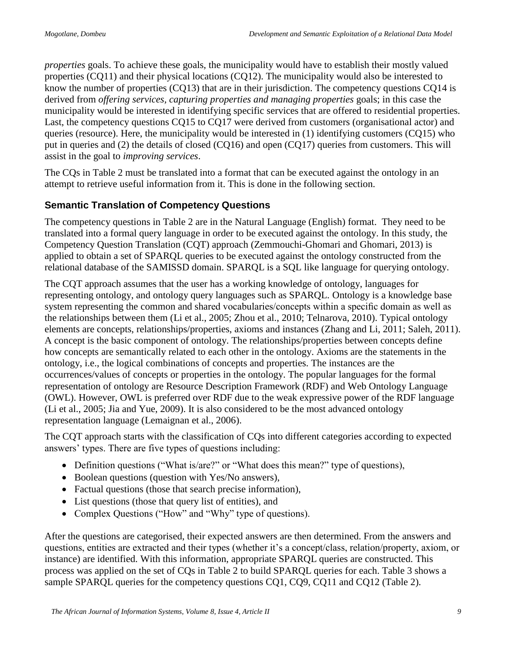*properties* goals. To achieve these goals, the municipality would have to establish their mostly valued properties (CQ11) and their physical locations (CQ12). The municipality would also be interested to know the number of properties (CQ13) that are in their jurisdiction. The competency questions CQ14 is derived from *offering services, capturing properties and managing properties* goals; in this case the municipality would be interested in identifying specific services that are offered to residential properties. Last, the competency questions CQ15 to CQ17 were derived from customers (organisational actor) and queries (resource). Here, the municipality would be interested in (1) identifying customers (CQ15) who put in queries and (2) the details of closed (CQ16) and open (CQ17) queries from customers. This will assist in the goal to *improving services*.

The CQs in Table 2 must be translated into a format that can be executed against the ontology in an attempt to retrieve useful information from it. This is done in the following section.

#### **Semantic Translation of Competency Questions**

The competency questions in Table 2 are in the Natural Language (English) format. They need to be translated into a formal query language in order to be executed against the ontology. In this study, the Competency Question Translation (CQT) approach (Zemmouchi-Ghomari and Ghomari, 2013) is applied to obtain a set of SPARQL queries to be executed against the ontology constructed from the relational database of the SAMISSD domain. SPARQL is a SQL like language for querying ontology.

The CQT approach assumes that the user has a working knowledge of ontology, languages for representing ontology, and ontology query languages such as SPARQL. Ontology is a knowledge base system representing the common and shared vocabularies/concepts within a specific domain as well as the relationships between them (Li et al., 2005; Zhou et al., 2010; Telnarova, 2010). Typical ontology elements are concepts, relationships/properties, axioms and instances (Zhang and Li, 2011; Saleh, 2011). A concept is the basic component of ontology. The relationships/properties between concepts define how concepts are semantically related to each other in the ontology. Axioms are the statements in the ontology, i.e., the logical combinations of concepts and properties. The instances are the occurrences/values of concepts or properties in the ontology. The popular languages for the formal representation of ontology are Resource Description Framework (RDF) and Web Ontology Language (OWL). However, OWL is preferred over RDF due to the weak expressive power of the RDF language (Li et al., 2005; Jia and Yue, 2009). It is also considered to be the most advanced ontology representation language (Lemaignan et al., 2006).

The CQT approach starts with the classification of CQs into different categories according to expected answers' types. There are five types of questions including:

- Definition questions ("What is/are?" or "What does this mean?" type of questions),
- Boolean questions (question with Yes/No answers),
- Factual questions (those that search precise information),
- List questions (those that query list of entities), and
- Complex Questions ("How" and "Why" type of questions).

After the questions are categorised, their expected answers are then determined. From the answers and questions, entities are extracted and their types (whether it's a concept/class, relation/property, axiom, or instance) are identified. With this information, appropriate SPARQL queries are constructed. This process was applied on the set of CQs in Table 2 to build SPARQL queries for each. Table 3 shows a sample SPARQL queries for the competency questions CQ1, CQ9, CQ11 and CQ12 (Table 2).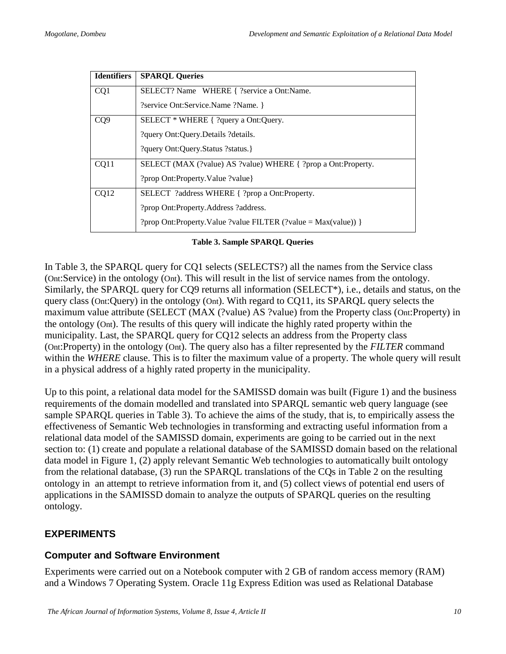| <b>Identifiers</b> | <b>SPARQL Queries</b>                                          |
|--------------------|----------------------------------------------------------------|
| CQ1                | SELECT? Name WHERE { ?service a Ont:Name.                      |
|                    | ?service Ont:Service.Name ?Name. }                             |
| CQ <sub>9</sub>    | SELECT * WHERE { ?query a Ont:Query.                           |
|                    | ?query Ont:Query.Details ?details.                             |
|                    | ?query Ont:Query.Status ?status.}                              |
| CO <sub>11</sub>   | SELECT (MAX (?value) AS ?value) WHERE { ?prop a Ont:Property.  |
|                    | ?prop Ont:Property.Value ?value}                               |
| CO12               | SELECT ?address WHERE { ?prop a Ont:Property.                  |
|                    | ?prop Ont: Property. Address ?address.                         |
|                    | ?prop Ont:Property.Value ?value FILTER (?value = Max(value)) } |

|  | <b>Table 3. Sample SPARQL Queries</b> |  |
|--|---------------------------------------|--|
|  |                                       |  |

In Table 3, the SPARQL query for CQ1 selects (SELECTS?) all the names from the Service class (Ont:Service) in the ontology (Ont). This will result in the list of service names from the ontology. Similarly, the SPARQL query for CQ9 returns all information (SELECT\*), i.e., details and status, on the query class (Ont:Query) in the ontology (Ont). With regard to CQ11, its SPARQL query selects the maximum value attribute (SELECT (MAX (?value) AS ?value) from the Property class (Ont:Property) in the ontology (Ont). The results of this query will indicate the highly rated property within the municipality. Last, the SPARQL query for CQ12 selects an address from the Property class (Ont:Property) in the ontology (Ont). The query also has a filter represented by the *FILTER* command within the *WHERE* clause. This is to filter the maximum value of a property. The whole query will result in a physical address of a highly rated property in the municipality.

Up to this point, a relational data model for the SAMISSD domain was built (Figure 1) and the business requirements of the domain modelled and translated into SPARQL semantic web query language (see sample SPARQL queries in Table 3). To achieve the aims of the study, that is, to empirically assess the effectiveness of Semantic Web technologies in transforming and extracting useful information from a relational data model of the SAMISSD domain, experiments are going to be carried out in the next section to: (1) create and populate a relational database of the SAMISSD domain based on the relational data model in Figure 1, (2) apply relevant Semantic Web technologies to automatically built ontology from the relational database, (3) run the SPARQL translations of the CQs in Table 2 on the resulting ontology in an attempt to retrieve information from it, and (5) collect views of potential end users of applications in the SAMISSD domain to analyze the outputs of SPARQL queries on the resulting ontology.

#### **EXPERIMENTS**

#### **Computer and Software Environment**

Experiments were carried out on a Notebook computer with 2 GB of random access memory (RAM) and a Windows 7 Operating System. Oracle 11g Express Edition was used as Relational Database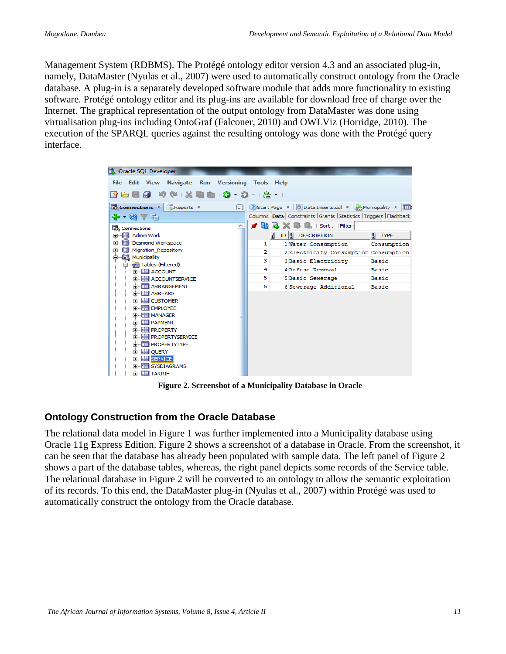Management System (RDBMS). The Protégé ontology editor version 4.3 and an associated plug-in, namely, DataMaster (Nyulas et al., 2007) were used to automatically construct ontology from the Oracle database. A plug-in is a separately developed software module that adds more functionality to existing software. Protégé ontology editor and its plug-ins are available for download free of charge over the Internet. The graphical representation of the output ontology from DataMaster was done using virtualisation plug-ins including OntoGraf (Falconer, 2010) and OWLViz (Horridge, 2010). The execution of the SPARQL queries against the resulting ontology was done with the Protégé query interface.



**Figure 2. Screenshot of a Municipality Database in Oracle**

#### **Ontology Construction from the Oracle Database**

The relational data model in Figure 1 was further implemented into a Municipality database using Oracle 11g Express Edition. Figure 2 shows a screenshot of a database in Oracle. From the screenshot, it can be seen that the database has already been populated with sample data. The left panel of Figure 2 shows a part of the database tables, whereas, the right panel depicts some records of the Service table. The relational database in Figure 2 will be converted to an ontology to allow the semantic exploitation of its records. To this end, the DataMaster plug-in (Nyulas et al., 2007) within Protégé was used to automatically construct the ontology from the Oracle database.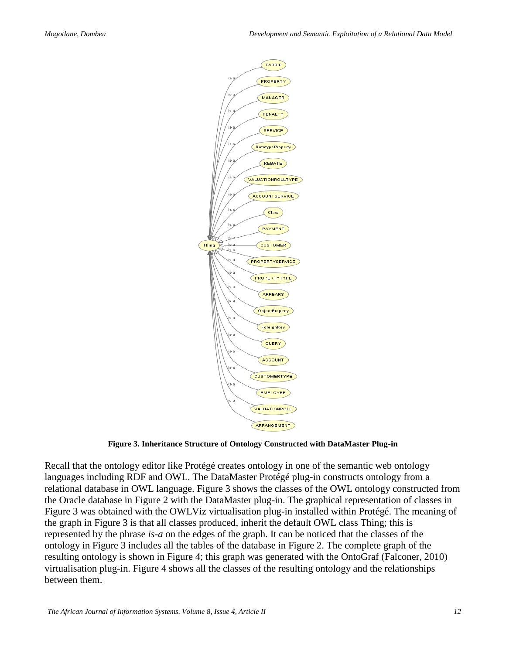

**Figure 3. Inheritance Structure of Ontology Constructed with DataMaster Plug-in** 

Recall that the ontology editor like Protégé creates ontology in one of the semantic web ontology languages including RDF and OWL. The DataMaster Protégé plug-in constructs ontology from a relational database in OWL language. Figure 3 shows the classes of the OWL ontology constructed from the Oracle database in Figure 2 with the DataMaster plug-in. The graphical representation of classes in Figure 3 was obtained with the OWLViz virtualisation plug-in installed within Protégé. The meaning of the graph in Figure 3 is that all classes produced, inherit the default OWL class Thing; this is represented by the phrase *is-a* on the edges of the graph. It can be noticed that the classes of the ontology in Figure 3 includes all the tables of the database in Figure 2. The complete graph of the resulting ontology is shown in Figure 4; this graph was generated with the OntoGraf (Falconer, 2010) virtualisation plug-in. Figure 4 shows all the classes of the resulting ontology and the relationships between them.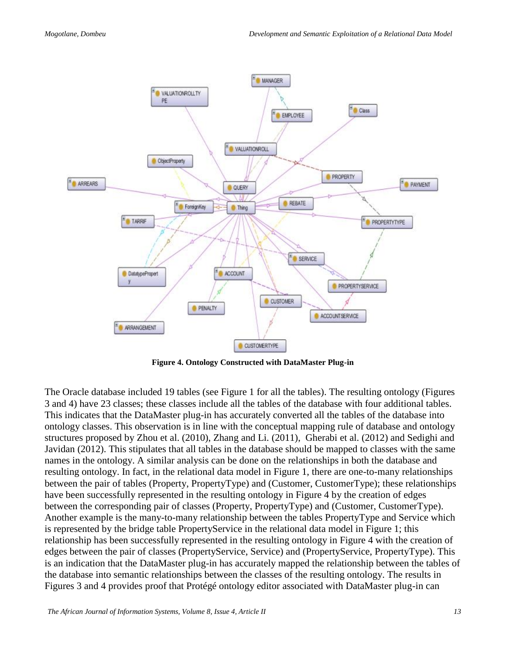

**Figure 4. Ontology Constructed with DataMaster Plug-in**

The Oracle database included 19 tables (see Figure 1 for all the tables). The resulting ontology (Figures 3 and 4) have 23 classes; these classes include all the tables of the database with four additional tables. This indicates that the DataMaster plug-in has accurately converted all the tables of the database into ontology classes. This observation is in line with the conceptual mapping rule of database and ontology structures proposed by Zhou et al. (2010), Zhang and Li. (2011), Gherabi et al. (2012) and Sedighi and Javidan (2012). This stipulates that all tables in the database should be mapped to classes with the same names in the ontology. A similar analysis can be done on the relationships in both the database and resulting ontology. In fact, in the relational data model in Figure 1, there are one-to-many relationships between the pair of tables (Property, PropertyType) and (Customer, CustomerType); these relationships have been successfully represented in the resulting ontology in Figure 4 by the creation of edges between the corresponding pair of classes (Property, PropertyType) and (Customer, CustomerType). Another example is the many-to-many relationship between the tables PropertyType and Service which is represented by the bridge table PropertyService in the relational data model in Figure 1; this relationship has been successfully represented in the resulting ontology in Figure 4 with the creation of edges between the pair of classes (PropertyService, Service) and (PropertyService, PropertyType). This is an indication that the DataMaster plug-in has accurately mapped the relationship between the tables of the database into semantic relationships between the classes of the resulting ontology. The results in Figures 3 and 4 provides proof that Protégé ontology editor associated with DataMaster plug-in can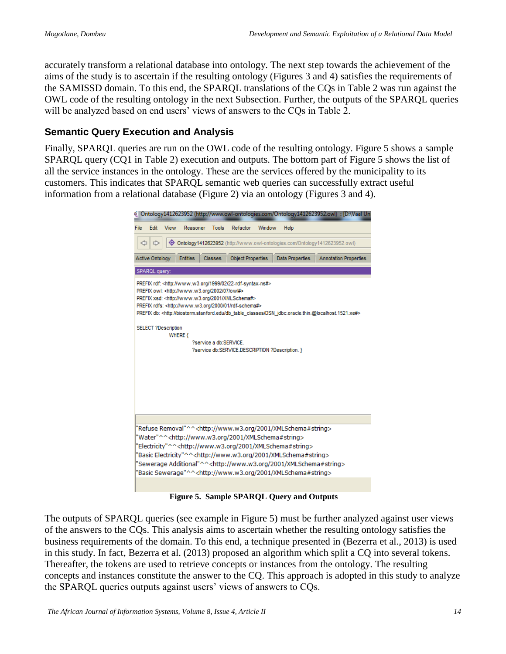accurately transform a relational database into ontology. The next step towards the achievement of the aims of the study is to ascertain if the resulting ontology (Figures 3 and 4) satisfies the requirements of the SAMISSD domain. To this end, the SPARQL translations of the CQs in Table 2 was run against the OWL code of the resulting ontology in the next Subsection. Further, the outputs of the SPARQL queries will be analyzed based on end users' views of answers to the CQs in Table 2.

#### **Semantic Query Execution and Analysis**

Finally, SPARQL queries are run on the OWL code of the resulting ontology. Figure 5 shows a sample SPARQL query (CQ1 in Table 2) execution and outputs. The bottom part of Figure 5 shows the list of all the service instances in the ontology. These are the services offered by the municipality to its customers. This indicates that SPARQL semantic web queries can successfully extract useful information from a relational database (Figure 2) via an ontology (Figures 3 and 4).



**Figure 5. Sample SPARQL Query and Outputs**

The outputs of SPARQL queries (see example in Figure 5) must be further analyzed against user views of the answers to the CQs. This analysis aims to ascertain whether the resulting ontology satisfies the business requirements of the domain. To this end, a technique presented in (Bezerra et al., 2013) is used in this study. In fact, Bezerra et al. (2013) proposed an algorithm which split a CQ into several tokens. Thereafter, the tokens are used to retrieve concepts or instances from the ontology. The resulting concepts and instances constitute the answer to the CQ. This approach is adopted in this study to analyze the SPARQL queries outputs against users' views of answers to CQs.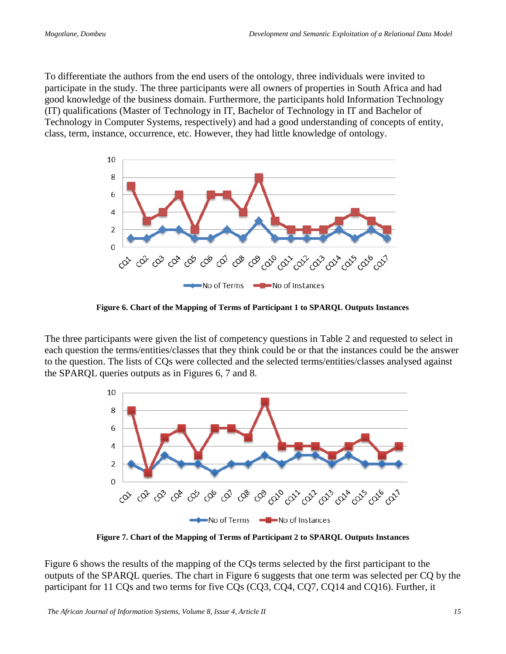To differentiate the authors from the end users of the ontology, three individuals were invited to participate in the study. The three participants were all owners of properties in South Africa and had good knowledge of the business domain. Furthermore, the participants hold Information Technology (IT) qualifications (Master of Technology in IT, Bachelor of Technology in IT and Bachelor of Technology in Computer Systems, respectively) and had a good understanding of concepts of entity, class, term, instance, occurrence, etc. However, they had little knowledge of ontology.



**Figure 6. Chart of the Mapping of Terms of Participant 1 to SPARQL Outputs Instances**

The three participants were given the list of competency questions in Table 2 and requested to select in each question the terms/entities/classes that they think could be or that the instances could be the answer to the question. The lists of CQs were collected and the selected terms/entities/classes analysed against the SPARQL queries outputs as in Figures 6, 7 and 8.



**Figure 7. Chart of the Mapping of Terms of Participant 2 to SPARQL Outputs Instances** 

Figure 6 shows the results of the mapping of the CQs terms selected by the first participant to the outputs of the SPARQL queries. The chart in Figure 6 suggests that one term was selected per CQ by the participant for 11 CQs and two terms for five CQs (CQ3, CQ4, CQ7, CQ14 and CQ16). Further, it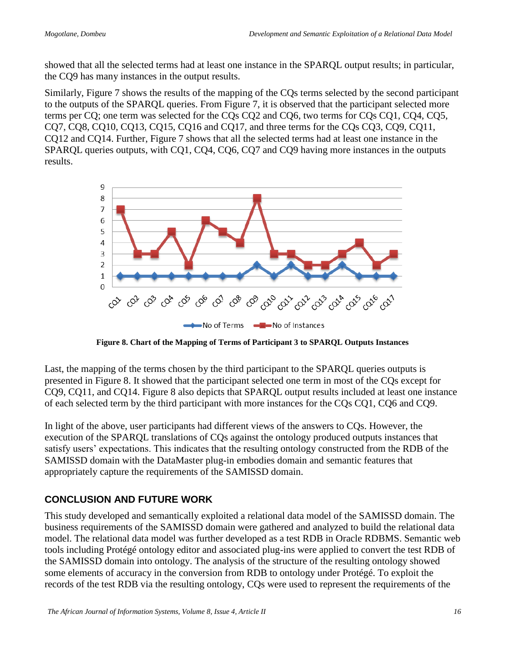showed that all the selected terms had at least one instance in the SPARQL output results; in particular, the CQ9 has many instances in the output results.

Similarly, Figure 7 shows the results of the mapping of the CQs terms selected by the second participant to the outputs of the SPARQL queries. From Figure 7, it is observed that the participant selected more terms per CQ; one term was selected for the CQs CQ2 and CQ6, two terms for CQs CQ1, CQ4, CQ5, CQ7, CQ8, CQ10, CQ13, CQ15, CQ16 and CQ17, and three terms for the CQs CQ3, CQ9, CQ11, CQ12 and CQ14. Further, Figure 7 shows that all the selected terms had at least one instance in the SPARQL queries outputs, with CQ1, CQ4, CQ6, CQ7 and CQ9 having more instances in the outputs results.



**Figure 8. Chart of the Mapping of Terms of Participant 3 to SPARQL Outputs Instances**

Last, the mapping of the terms chosen by the third participant to the SPARQL queries outputs is presented in Figure 8. It showed that the participant selected one term in most of the CQs except for CQ9, CQ11, and CQ14. Figure 8 also depicts that SPARQL output results included at least one instance of each selected term by the third participant with more instances for the CQs CQ1, CQ6 and CQ9.

In light of the above, user participants had different views of the answers to CQs. However, the execution of the SPARQL translations of CQs against the ontology produced outputs instances that satisfy users' expectations. This indicates that the resulting ontology constructed from the RDB of the SAMISSD domain with the DataMaster plug-in embodies domain and semantic features that appropriately capture the requirements of the SAMISSD domain.

#### **CONCLUSION AND FUTURE WORK**

This study developed and semantically exploited a relational data model of the SAMISSD domain. The business requirements of the SAMISSD domain were gathered and analyzed to build the relational data model. The relational data model was further developed as a test RDB in Oracle RDBMS. Semantic web tools including Protégé ontology editor and associated plug-ins were applied to convert the test RDB of the SAMISSD domain into ontology. The analysis of the structure of the resulting ontology showed some elements of accuracy in the conversion from RDB to ontology under Protégé. To exploit the records of the test RDB via the resulting ontology, CQs were used to represent the requirements of the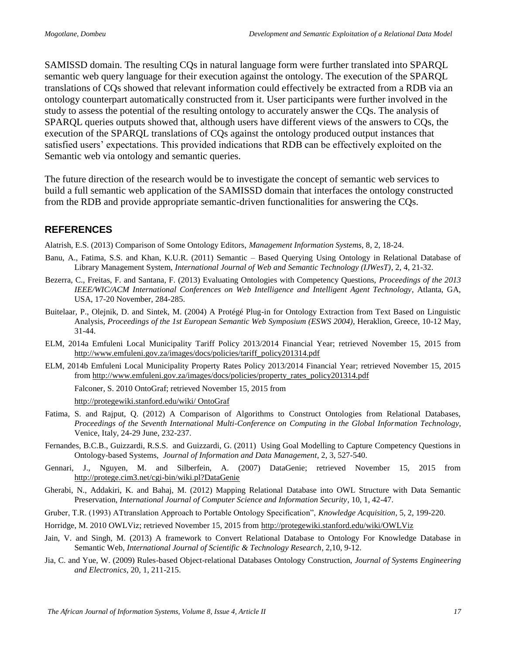SAMISSD domain. The resulting CQs in natural language form were further translated into SPARQL semantic web query language for their execution against the ontology. The execution of the SPARQL translations of CQs showed that relevant information could effectively be extracted from a RDB via an ontology counterpart automatically constructed from it. User participants were further involved in the study to assess the potential of the resulting ontology to accurately answer the CQs. The analysis of SPARQL queries outputs showed that, although users have different views of the answers to CQs, the execution of the SPARQL translations of CQs against the ontology produced output instances that satisfied users' expectations. This provided indications that RDB can be effectively exploited on the Semantic web via ontology and semantic queries.

The future direction of the research would be to investigate the concept of semantic web services to build a full semantic web application of the SAMISSD domain that interfaces the ontology constructed from the RDB and provide appropriate semantic-driven functionalities for answering the CQs.

#### **REFERENCES**

Alatrish, E.S. (2013) Comparison of Some Ontology Editors, *Management Information Systems*, 8, 2, 18-24.

- Banu, A., Fatima, S.S. and Khan, K.U.R. (2011) Semantic Based Querying Using Ontology in Relational Database of Library Management System, *International Journal of Web and Semantic Technology (IJWesT)*, 2, 4, 21-32.
- Bezerra, C., Freitas, F. and Santana, F. (2013) Evaluating Ontologies with Competency Questions, *Proceedings of the 2013 IEEE/WIC/ACM International Conferences on Web Intelligence and Intelligent Agent Technology*, Atlanta, GA, USA, 17-20 November, 284-285.
- Buitelaar, P., Olejnik, D. and Sintek, M. (2004) A Protégé Plug-in for Ontology Extraction from Text Based on Linguistic Analysis, *Proceedings of the 1st European Semantic Web Symposium (ESWS 2004)*, Heraklion, Greece, 10-12 May, 31-44.
- ELM, 2014a Emfuleni Local Municipality Tariff Policy 2013/2014 Financial Year; retrieved November 15, 2015 from [http://www.emfuleni.gov.za/images/docs/policies/tariff\\_policy201314.pdf](http://www.emfuleni.gov.za/images/docs/policies/tariff_policy201314.pdf)
- ELM, 2014b Emfuleni Local Municipality Property Rates Policy 2013/2014 Financial Year; retrieved November 15, 2015 from [http://www.emfuleni.gov.za/images/docs/policies/property\\_rates\\_policy201314.pdf](http://www.emfuleni.gov.za/images/docs/policies/property_rates_policy201314.pdf)

Falconer, S. 2010 OntoGraf; retrieved November 15, 2015 from

[http://protegewiki.stanford.edu/wiki/ OntoGraf](http://protegewiki.stanford.edu/wiki/%20OntoGraf) 

- Fatima, S. and Rajput, Q. (2012) A Comparison of Algorithms to Construct Ontologies from Relational Databases, *Proceedings of the Seventh International Multi-Conference on Computing in the Global Information Technology*, Venice, Italy, 24-29 June, 232-237.
- Fernandes, B.C.B., Guizzardi, R.S.S. and Guizzardi, G. (2011) Using Goal Modelling to Capture Competency Questions in Ontology-based Systems, *Journal of Information and Data Management*, 2, 3, 527-540.
- Gennari, J., Nguyen, M. and Silberfein, A. (2007) DataGenie; retrieved November 15, 2015 from <http://protege.cim3.net/cgi-bin/wiki.pl?DataGenie>
- Gherabi, N., Addakiri, K. and Bahaj, M. (2012) Mapping Relational Database into OWL Structure with Data Semantic Preservation, *International Journal of Computer Science and Information Security*, 10, 1, 42-47.
- Gruber, T.R. (1993) ATtranslation Approach to Portable Ontology Specification", *Knowledge Acquisition*, 5, 2, 199-220.
- Horridge, M. 2010 OWLViz; retrieved November 15, 2015 from<http://protegewiki.stanford.edu/wiki/OWLViz>
- Jain, V. and Singh, M. (2013) A framework to Convert Relational Database to Ontology For Knowledge Database in Semantic Web, *International Journal of Scientific & Technology Research*, 2,10, 9-12.
- Jia, C. and Yue, W. (2009) Rules-based Object-relational Databases Ontology Construction, *Journal of Systems Engineering and Electronics*, 20, 1, 211-215.